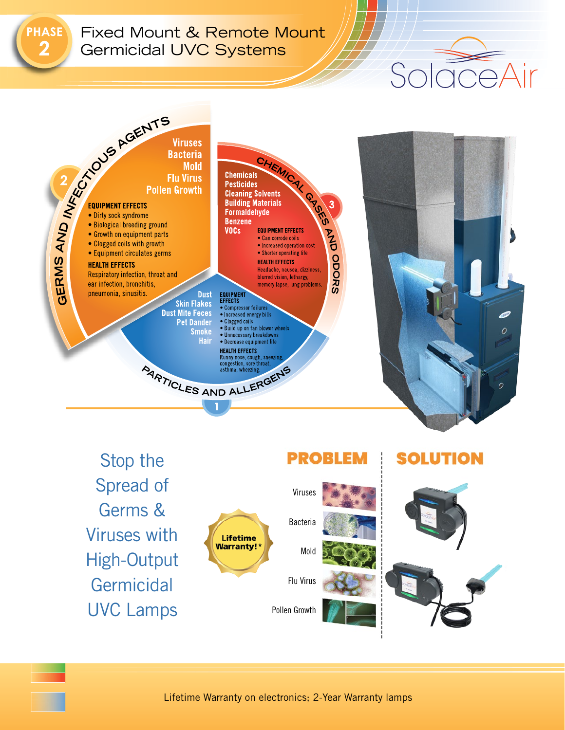**HASE** 

## Fixed Mount & Remote Mount Germicidal UVC Systems



Stop the Spread of Germs & Viruses with **Lifetime Warranty!** High-Output **Germicidal** UVC Lamps



 $\supseteq$